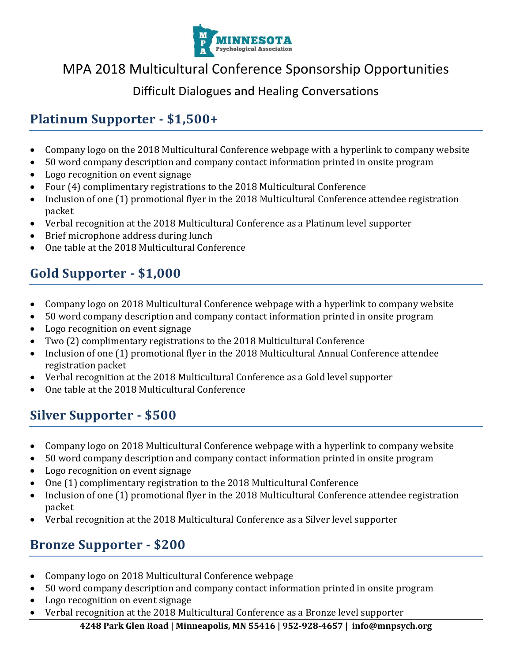

# MPA 2018 Multicultural Conference Sponsorship Opportunities

### Difficult Dialogues and Healing Conversations

### **Platinum Supporter - \$1,500+**

- Company logo on the 2018 Multicultural Conference webpage with a hyperlink to company website
- 50 word company description and company contact information printed in onsite program
- Logo recognition on event signage
- Four (4) complimentary registrations to the 2018 Multicultural Conference
- Inclusion of one (1) promotional flyer in the 2018 Multicultural Conference attendee registration packet
- Verbal recognition at the 2018 Multicultural Conference as a Platinum level supporter
- Brief microphone address during lunch
- One table at the 2018 Multicultural Conference

# **Gold Supporter - \$1,000**

- Company logo on 2018 Multicultural Conference webpage with a hyperlink to company website
- 50 word company description and company contact information printed in onsite program
- Logo recognition on event signage
- Two (2) complimentary registrations to the 2018 Multicultural Conference
- Inclusion of one (1) promotional flyer in the 2018 Multicultural Annual Conference attendee registration packet
- Verbal recognition at the 2018 Multicultural Conference as a Gold level supporter
- One table at the 2018 Multicultural Conference

## **Silver Supporter - \$500**

- Company logo on 2018 Multicultural Conference webpage with a hyperlink to company website
- 50 word company description and company contact information printed in onsite program
- Logo recognition on event signage
- One (1) complimentary registration to the 2018 Multicultural Conference
- Inclusion of one (1) promotional flyer in the 2018 Multicultural Conference attendee registration packet
- Verbal recognition at the 2018 Multicultural Conference as a Silver level supporter

### **Bronze Supporter - \$200**

- Company logo on 2018 Multicultural Conference webpage
- 50 word company description and company contact information printed in onsite program
- Logo recognition on event signage
- Verbal recognition at the 2018 Multicultural Conference as a Bronze level supporter